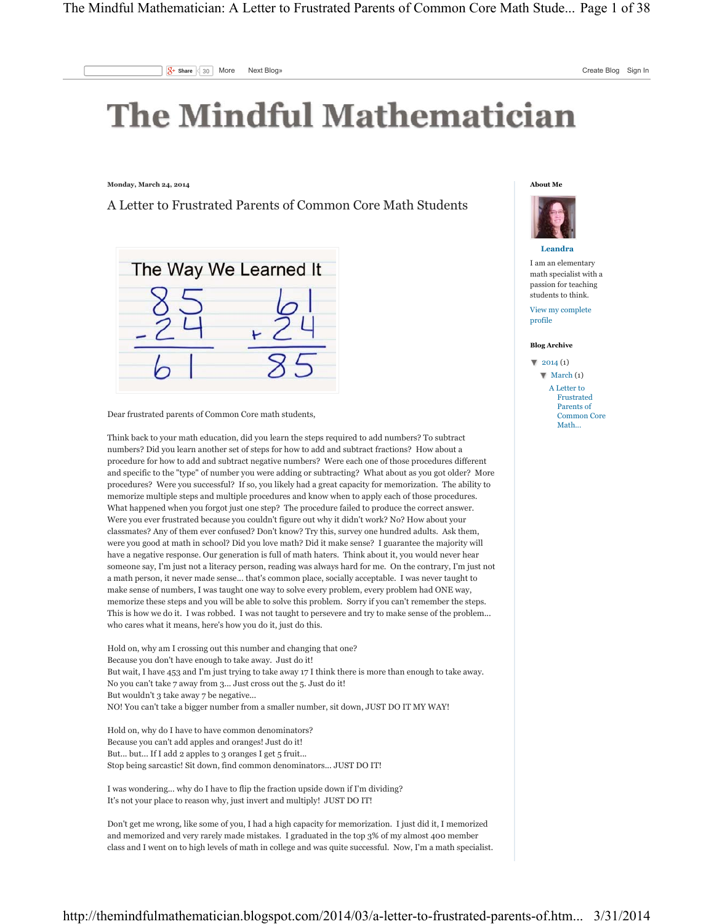## **The Mindful Mathematician**

**Monday, March 24, 2014**

A Letter to Frustrated Parents of Common Core Math Students



Dear frustrated parents of Common Core math students,

Think back to your math education, did you learn the steps required to add numbers? To subtract numbers? Did you learn another set of steps for how to add and subtract fractions? How about a procedure for how to add and subtract negative numbers? Were each one of those procedures different and specific to the "type" of number you were adding or subtracting? What about as you got older? More procedures? Were you successful? If so, you likely had a great capacity for memorization. The ability to memorize multiple steps and multiple procedures and know when to apply each of those procedures. What happened when you forgot just one step? The procedure failed to produce the correct answer. Were you ever frustrated because you couldn't figure out why it didn't work? No? How about your classmates? Any of them ever confused? Don't know? Try this, survey one hundred adults. Ask them, were you good at math in school? Did you love math? Did it make sense? I guarantee the majority will have a negative response. Our generation is full of math haters. Think about it, you would never hear someone say, I'm just not a literacy person, reading was always hard for me. On the contrary, I'm just not a math person, it never made sense... that's common place, socially acceptable. I was never taught to make sense of numbers, I was taught one way to solve every problem, every problem had ONE way, memorize these steps and you will be able to solve this problem. Sorry if you can't remember the steps. This is how we do it. I was robbed. I was not taught to persevere and try to make sense of the problem... who cares what it means, here's how you do it, just do this.

Hold on, why am I crossing out this number and changing that one? Because you don't have enough to take away. Just do it! But wait, I have 453 and I'm just trying to take away 17 I think there is more than enough to take away. No you can't take 7 away from 3... Just cross out the 5. Just do it! But wouldn't 3 take away 7 be negative... NO! You can't take a bigger number from a smaller number, sit down, JUST DO IT MY WAY!

Hold on, why do I have to have common denominators? Because you can't add apples and oranges! Just do it! But... but... If I add 2 apples to 3 oranges I get 5 fruit... Stop being sarcastic! Sit down, find common denominators... JUST DO IT!

I was wondering... why do I have to flip the fraction upside down if I'm dividing? It's not your place to reason why, just invert and multiply! JUST DO IT!

Don't get me wrong, like some of you, I had a high capacity for memorization. I just did it, I memorized and memorized and very rarely made mistakes. I graduated in the top 3% of my almost 400 member class and I went on to high levels of math in college and was quite successful. Now, I'm a math specialist.





I am an elementary math specialist with a passion for teaching students to think. View my complete

profile

## **Blog Archive**

 $\sqrt{2014(1)}$  $\blacksquare$  March (1) A Letter to Frustrated Parents of Common Core Math...